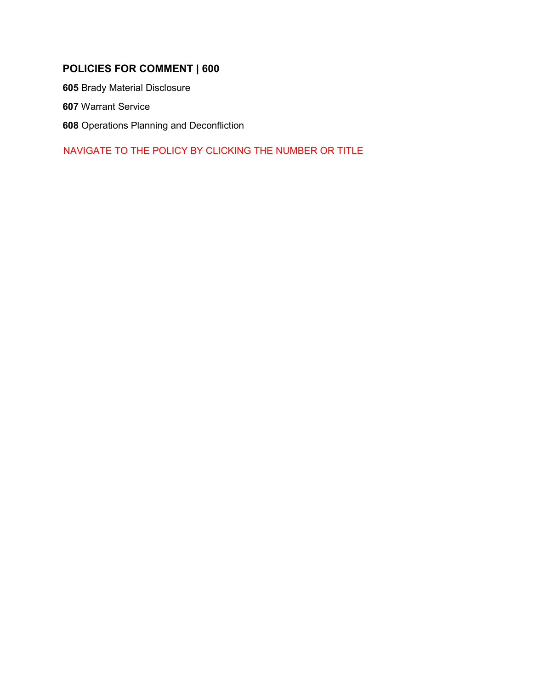## **POLICIES FOR COMMENT | 600**

**605** [Brady Material Disclosure](#page-1-0)

**607** [Warrant Service](#page-4-0)

**608** [Operations Planning and Deconfliction](#page-8-0) 

NAVIGATE TO THE POLICY BY CLICKING THE NUMBER OR TITLE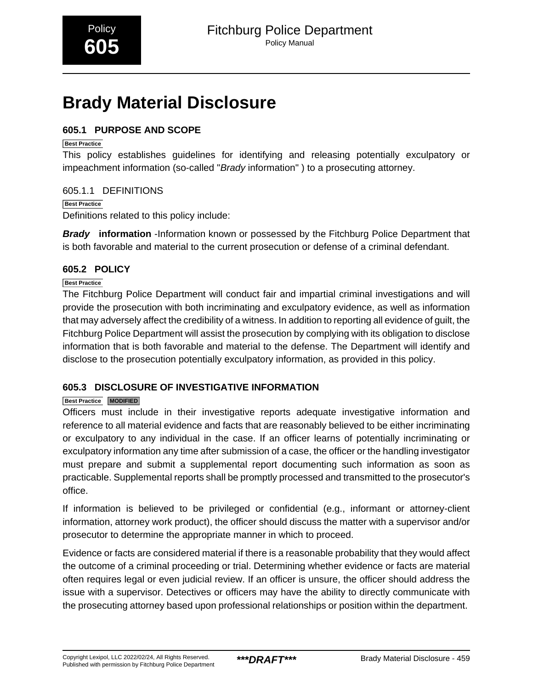# <span id="page-1-0"></span>**Brady Material Disclosure**

## **605.1 PURPOSE AND SCOPE**

## **Best Practice**

This policy establishes guidelines for identifying and releasing potentially exculpatory or impeachment information (so-called "Brady information" ) to a prosecuting attorney.

## 605.1.1 DEFINITIONS

**Best Practice**

Definitions related to this policy include:

**Brady information** -Information known or possessed by the Fitchburg Police Department that is both favorable and material to the current prosecution or defense of a criminal defendant.

## **605.2 POLICY**

## **Best Practice**

The Fitchburg Police Department will conduct fair and impartial criminal investigations and will provide the prosecution with both incriminating and exculpatory evidence, as well as information that may adversely affect the credibility of a witness. In addition to reporting all evidence of guilt, the Fitchburg Police Department will assist the prosecution by complying with its obligation to disclose information that is both favorable and material to the defense. The Department will identify and disclose to the prosecution potentially exculpatory information, as provided in this policy.

## **605.3 DISCLOSURE OF INVESTIGATIVE INFORMATION**

## **Best Practice MODIFIED**

Officers must include in their investigative reports adequate investigative information and reference to all material evidence and facts that are reasonably believed to be either incriminating or exculpatory to any individual in the case. If an officer learns of potentially incriminating or exculpatory information any time after submission of a case, the officer or the handling investigator must prepare and submit a supplemental report documenting such information as soon as practicable. Supplemental reports shall be promptly processed and transmitted to the prosecutor's office.

If information is believed to be privileged or confidential (e.g., informant or attorney-client information, attorney work product), the officer should discuss the matter with a supervisor and/or prosecutor to determine the appropriate manner in which to proceed.

Evidence or facts are considered material if there is a reasonable probability that they would affect the outcome of a criminal proceeding or trial. Determining whether evidence or facts are material often requires legal or even judicial review. If an officer is unsure, the officer should address the issue with a supervisor. Detectives or officers may have the ability to directly communicate with the prosecuting attorney based upon professional relationships or position within the department.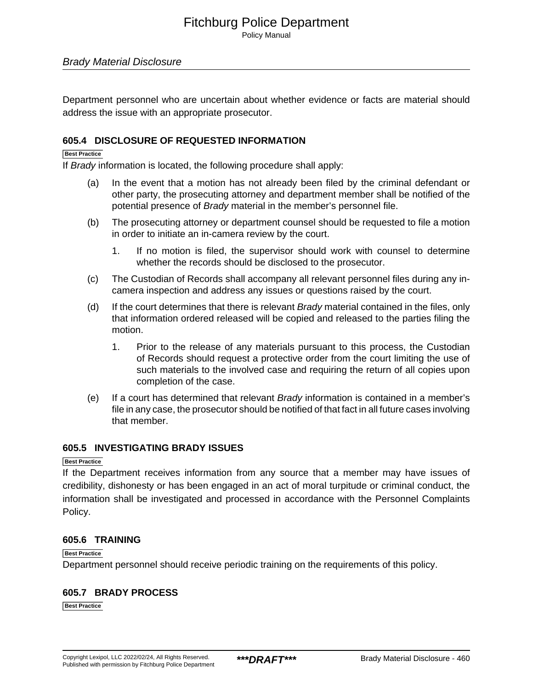Policy Manual

## Brady Material Disclosure

Department personnel who are uncertain about whether evidence or facts are material should address the issue with an appropriate prosecutor.

## **605.4 DISCLOSURE OF REQUESTED INFORMATION**

#### **Best Practice**

If Brady information is located, the following procedure shall apply:

- (a) In the event that a motion has not already been filed by the criminal defendant or other party, the prosecuting attorney and department member shall be notified of the potential presence of Brady material in the member's personnel file.
- (b) The prosecuting attorney or department counsel should be requested to file a motion in order to initiate an in-camera review by the court.
	- 1. If no motion is filed, the supervisor should work with counsel to determine whether the records should be disclosed to the prosecutor.
- (c) The Custodian of Records shall accompany all relevant personnel files during any incamera inspection and address any issues or questions raised by the court.
- (d) If the court determines that there is relevant  $Brady$  material contained in the files, only that information ordered released will be copied and released to the parties filing the motion.
	- 1. Prior to the release of any materials pursuant to this process, the Custodian of Records should request a protective order from the court limiting the use of such materials to the involved case and requiring the return of all copies upon completion of the case.
- (e) If a court has determined that relevant Brady information is contained in a member's file in any case, the prosecutor should be notified of that fact in all future cases involving that member.

#### **605.5 INVESTIGATING BRADY ISSUES**

#### **Best Practice**

If the Department receives information from any source that a member may have issues of credibility, dishonesty or has been engaged in an act of moral turpitude or criminal conduct, the information shall be investigated and processed in accordance with the Personnel Complaints Policy.

#### **605.6 TRAINING**

#### **Best Practice**

Department personnel should receive periodic training on the requirements of this policy.

#### **605.7 BRADY PROCESS**

**Best Practice**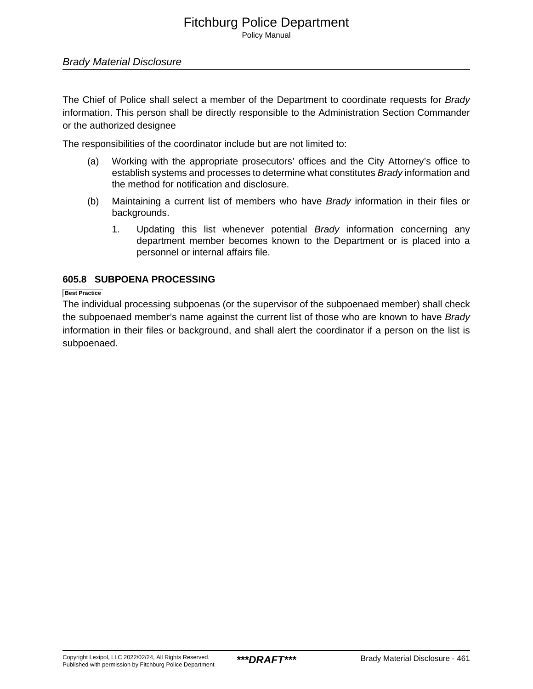Policy Manual

## Brady Material Disclosure

The Chief of Police shall select a member of the Department to coordinate requests for Brady information. This person shall be directly responsible to the Administration Section Commander or the authorized designee

The responsibilities of the coordinator include but are not limited to:

- (a) Working with the appropriate prosecutors' offices and the City Attorney's office to establish systems and processes to determine what constitutes Brady information and the method for notification and disclosure.
- (b) Maintaining a current list of members who have Brady information in their files or backgrounds.
	- 1. Updating this list whenever potential Brady information concerning any department member becomes known to the Department or is placed into a personnel or internal affairs file.

## **605.8 SUBPOENA PROCESSING**

**Best Practice**

The individual processing subpoenas (or the supervisor of the subpoenaed member) shall check the subpoenaed member's name against the current list of those who are known to have Brady information in their files or background, and shall alert the coordinator if a person on the list is subpoenaed.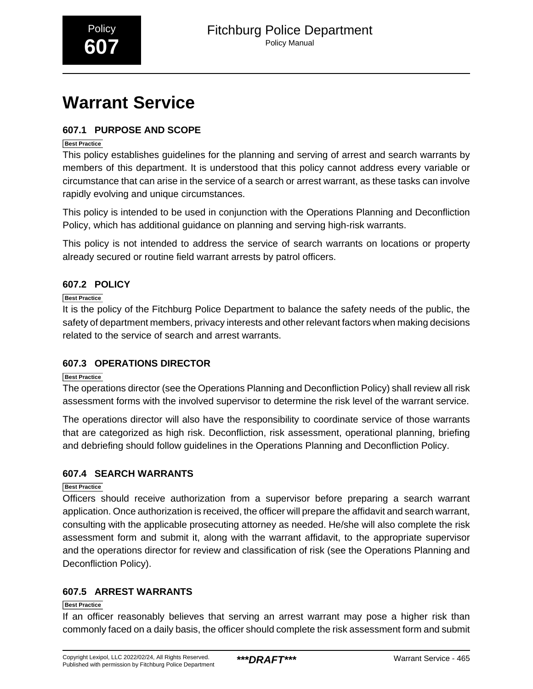# <span id="page-4-0"></span>**Warrant Service**

## **607.1 PURPOSE AND SCOPE**

## **Best Practice**

This policy establishes guidelines for the planning and serving of arrest and search warrants by members of this department. It is understood that this policy cannot address every variable or circumstance that can arise in the service of a search or arrest warrant, as these tasks can involve rapidly evolving and unique circumstances.

This policy is intended to be used in conjunction with the Operations Planning and Deconfliction Policy, which has additional guidance on planning and serving high-risk warrants.

This policy is not intended to address the service of search warrants on locations or property already secured or routine field warrant arrests by patrol officers.

## **607.2 POLICY**

## **Best Practice**

It is the policy of the Fitchburg Police Department to balance the safety needs of the public, the safety of department members, privacy interests and other relevant factors when making decisions related to the service of search and arrest warrants.

## **607.3 OPERATIONS DIRECTOR**

#### **Best Practice**

The operations director (see the Operations Planning and Deconfliction Policy) shall review all risk assessment forms with the involved supervisor to determine the risk level of the warrant service.

The operations director will also have the responsibility to coordinate service of those warrants that are categorized as high risk. Deconfliction, risk assessment, operational planning, briefing and debriefing should follow guidelines in the Operations Planning and Deconfliction Policy.

## **607.4 SEARCH WARRANTS**

## **Best Practice**

Officers should receive authorization from a supervisor before preparing a search warrant application. Once authorization is received, the officer will prepare the affidavit and search warrant, consulting with the applicable prosecuting attorney as needed. He/she will also complete the risk assessment form and submit it, along with the warrant affidavit, to the appropriate supervisor and the operations director for review and classification of risk (see the Operations Planning and Deconfliction Policy).

## **607.5 ARREST WARRANTS**

#### **Best Practice**

If an officer reasonably believes that serving an arrest warrant may pose a higher risk than commonly faced on a daily basis, the officer should complete the risk assessment form and submit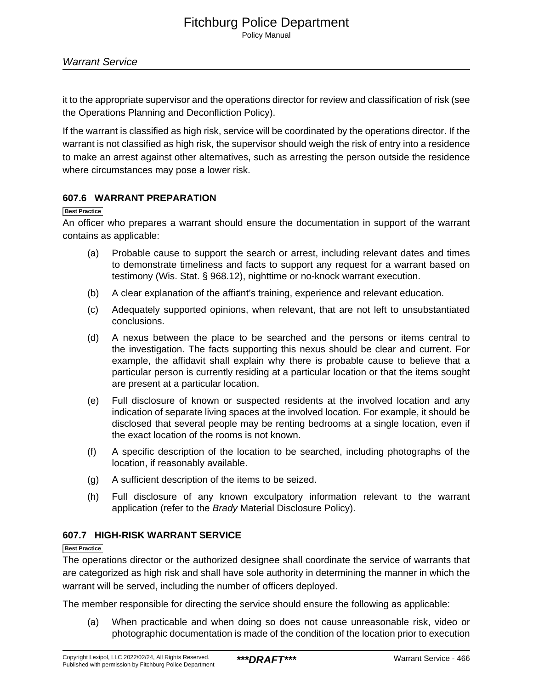it to the appropriate supervisor and the operations director for review and classification of risk (see the Operations Planning and Deconfliction Policy).

If the warrant is classified as high risk, service will be coordinated by the operations director. If the warrant is not classified as high risk, the supervisor should weigh the risk of entry into a residence to make an arrest against other alternatives, such as arresting the person outside the residence where circumstances may pose a lower risk.

## **607.6 WARRANT PREPARATION**

#### **Best Practice**

An officer who prepares a warrant should ensure the documentation in support of the warrant contains as applicable:

- (a) Probable cause to support the search or arrest, including relevant dates and times to demonstrate timeliness and facts to support any request for a warrant based on testimony (Wis. Stat. § 968.12), nighttime or no-knock warrant execution.
- (b) A clear explanation of the affiant's training, experience and relevant education.
- (c) Adequately supported opinions, when relevant, that are not left to unsubstantiated conclusions.
- (d) A nexus between the place to be searched and the persons or items central to the investigation. The facts supporting this nexus should be clear and current. For example, the affidavit shall explain why there is probable cause to believe that a particular person is currently residing at a particular location or that the items sought are present at a particular location.
- (e) Full disclosure of known or suspected residents at the involved location and any indication of separate living spaces at the involved location. For example, it should be disclosed that several people may be renting bedrooms at a single location, even if the exact location of the rooms is not known.
- (f) A specific description of the location to be searched, including photographs of the location, if reasonably available.
- (g) A sufficient description of the items to be seized.
- (h) Full disclosure of any known exculpatory information relevant to the warrant application (refer to the Brady Material Disclosure Policy).

## **607.7 HIGH-RISK WARRANT SERVICE**

#### **Best Practice**

The operations director or the authorized designee shall coordinate the service of warrants that are categorized as high risk and shall have sole authority in determining the manner in which the warrant will be served, including the number of officers deployed.

The member responsible for directing the service should ensure the following as applicable:

(a) When practicable and when doing so does not cause unreasonable risk, video or photographic documentation is made of the condition of the location prior to execution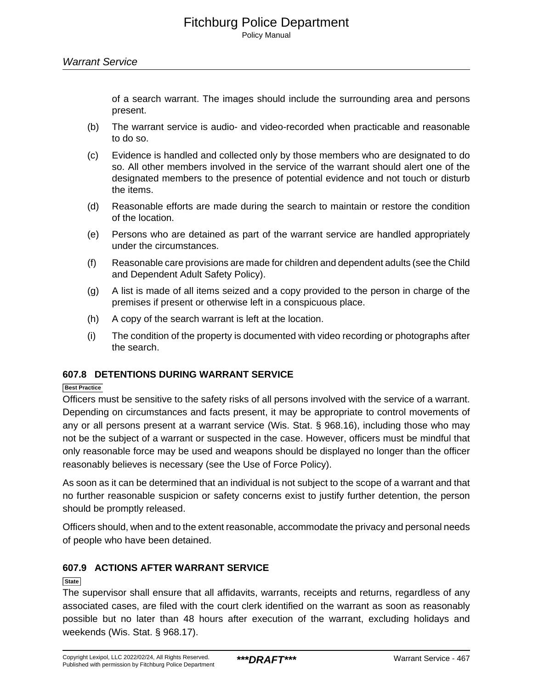of a search warrant. The images should include the surrounding area and persons present.

- (b) The warrant service is audio- and video-recorded when practicable and reasonable to do so.
- (c) Evidence is handled and collected only by those members who are designated to do so. All other members involved in the service of the warrant should alert one of the designated members to the presence of potential evidence and not touch or disturb the items.
- (d) Reasonable efforts are made during the search to maintain or restore the condition of the location.
- (e) Persons who are detained as part of the warrant service are handled appropriately under the circumstances.
- (f) Reasonable care provisions are made for children and dependent adults (see the Child and Dependent Adult Safety Policy).
- (g) A list is made of all items seized and a copy provided to the person in charge of the premises if present or otherwise left in a conspicuous place.
- (h) A copy of the search warrant is left at the location.
- (i) The condition of the property is documented with video recording or photographs after the search.

## **607.8 DETENTIONS DURING WARRANT SERVICE**

#### **Best Practice**

Officers must be sensitive to the safety risks of all persons involved with the service of a warrant. Depending on circumstances and facts present, it may be appropriate to control movements of any or all persons present at a warrant service (Wis. Stat. § 968.16), including those who may not be the subject of a warrant or suspected in the case. However, officers must be mindful that only reasonable force may be used and weapons should be displayed no longer than the officer reasonably believes is necessary (see the Use of Force Policy).

As soon as it can be determined that an individual is not subject to the scope of a warrant and that no further reasonable suspicion or safety concerns exist to justify further detention, the person should be promptly released.

Officers should, when and to the extent reasonable, accommodate the privacy and personal needs of people who have been detained.

## **607.9 ACTIONS AFTER WARRANT SERVICE**

#### **State**

The supervisor shall ensure that all affidavits, warrants, receipts and returns, regardless of any associated cases, are filed with the court clerk identified on the warrant as soon as reasonably possible but no later than 48 hours after execution of the warrant, excluding holidays and weekends (Wis. Stat. § 968.17).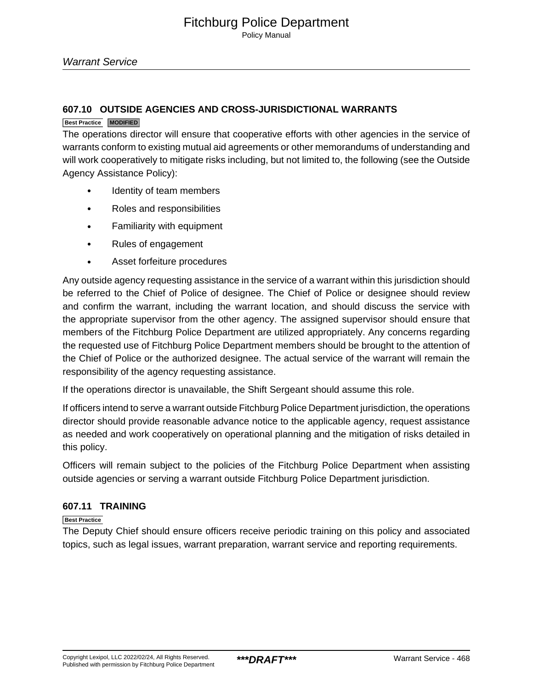Warrant Service

## **607.10 OUTSIDE AGENCIES AND CROSS-JURISDICTIONAL WARRANTS**

#### **Best Practice MODIFIED**

The operations director will ensure that cooperative efforts with other agencies in the service of warrants conform to existing mutual aid agreements or other memorandums of understanding and will work cooperatively to mitigate risks including, but not limited to, the following (see the Outside Agency Assistance Policy):

- Identity of team members
- Roles and responsibilities
- Familiarity with equipment
- Rules of engagement
- Asset forfeiture procedures

Any outside agency requesting assistance in the service of a warrant within this jurisdiction should be referred to the Chief of Police of designee. The Chief of Police or designee should review and confirm the warrant, including the warrant location, and should discuss the service with the appropriate supervisor from the other agency. The assigned supervisor should ensure that members of the Fitchburg Police Department are utilized appropriately. Any concerns regarding the requested use of Fitchburg Police Department members should be brought to the attention of the Chief of Police or the authorized designee. The actual service of the warrant will remain the responsibility of the agency requesting assistance.

If the operations director is unavailable, the Shift Sergeant should assume this role.

If officers intend to serve a warrant outside Fitchburg Police Department jurisdiction, the operations director should provide reasonable advance notice to the applicable agency, request assistance as needed and work cooperatively on operational planning and the mitigation of risks detailed in this policy.

Officers will remain subject to the policies of the Fitchburg Police Department when assisting outside agencies or serving a warrant outside Fitchburg Police Department jurisdiction.

## **607.11 TRAINING**

**Best Practice**

The Deputy Chief should ensure officers receive periodic training on this policy and associated topics, such as legal issues, warrant preparation, warrant service and reporting requirements.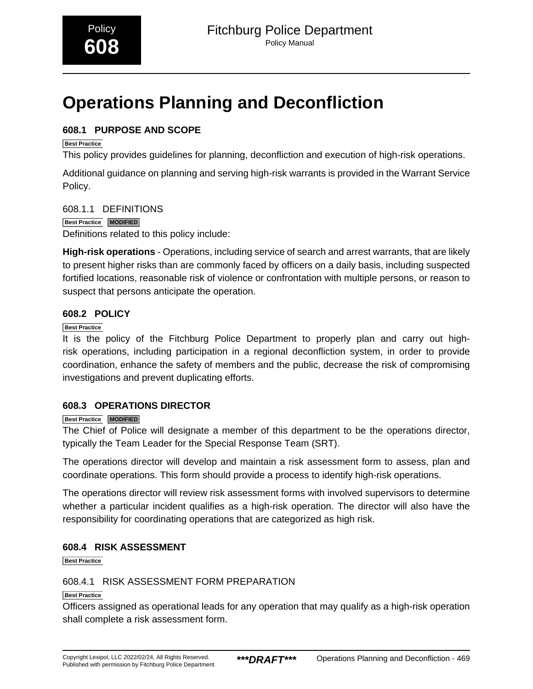# <span id="page-8-0"></span>**Operations Planning and Deconfliction**

## **608.1 PURPOSE AND SCOPE**

## **Best Practice**

This policy provides guidelines for planning, deconfliction and execution of high-risk operations.

Additional guidance on planning and serving high-risk warrants is provided in the Warrant Service Policy.

608.1.1 DEFINITIONS **Best Practice MODIFIED**

Definitions related to this policy include:

**High-risk operations** - Operations, including service of search and arrest warrants, that are likely to present higher risks than are commonly faced by officers on a daily basis, including suspected fortified locations, reasonable risk of violence or confrontation with multiple persons, or reason to suspect that persons anticipate the operation.

## **608.2 POLICY**

## **Best Practice**

It is the policy of the Fitchburg Police Department to properly plan and carry out highrisk operations, including participation in a regional deconfliction system, in order to provide coordination, enhance the safety of members and the public, decrease the risk of compromising investigations and prevent duplicating efforts.

## **608.3 OPERATIONS DIRECTOR**

## **Best Practice MODIFIED**

The Chief of Police will designate a member of this department to be the operations director, typically the Team Leader for the Special Response Team (SRT).

The operations director will develop and maintain a risk assessment form to assess, plan and coordinate operations. This form should provide a process to identify high-risk operations.

The operations director will review risk assessment forms with involved supervisors to determine whether a particular incident qualifies as a high-risk operation. The director will also have the responsibility for coordinating operations that are categorized as high risk.

## **608.4 RISK ASSESSMENT**

**Best Practice**

## 608.4.1 RISK ASSESSMENT FORM PREPARATION

#### **Best Practice**

Officers assigned as operational leads for any operation that may qualify as a high-risk operation shall complete a risk assessment form.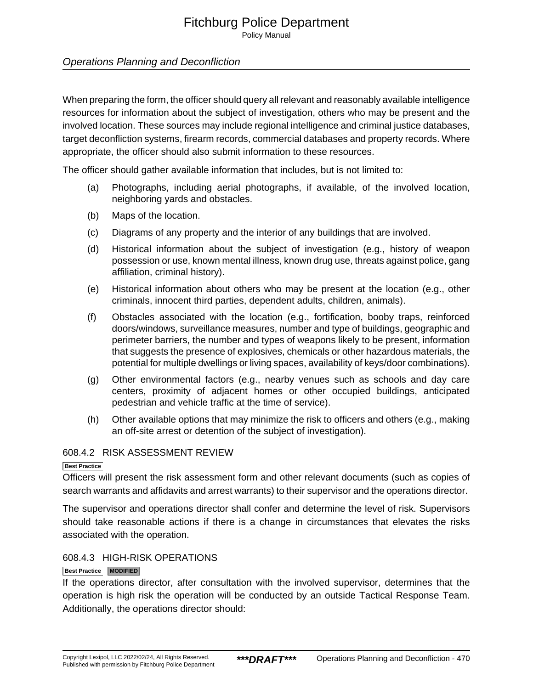Policy Manual

## Operations Planning and Deconfliction

When preparing the form, the officer should query all relevant and reasonably available intelligence resources for information about the subject of investigation, others who may be present and the involved location. These sources may include regional intelligence and criminal justice databases, target deconfliction systems, firearm records, commercial databases and property records. Where appropriate, the officer should also submit information to these resources.

The officer should gather available information that includes, but is not limited to:

- (a) Photographs, including aerial photographs, if available, of the involved location, neighboring yards and obstacles.
- (b) Maps of the location.
- (c) Diagrams of any property and the interior of any buildings that are involved.
- (d) Historical information about the subject of investigation (e.g., history of weapon possession or use, known mental illness, known drug use, threats against police, gang affiliation, criminal history).
- (e) Historical information about others who may be present at the location (e.g., other criminals, innocent third parties, dependent adults, children, animals).
- (f) Obstacles associated with the location (e.g., fortification, booby traps, reinforced doors/windows, surveillance measures, number and type of buildings, geographic and perimeter barriers, the number and types of weapons likely to be present, information that suggests the presence of explosives, chemicals or other hazardous materials, the potential for multiple dwellings or living spaces, availability of keys/door combinations).
- (g) Other environmental factors (e.g., nearby venues such as schools and day care centers, proximity of adjacent homes or other occupied buildings, anticipated pedestrian and vehicle traffic at the time of service).
- (h) Other available options that may minimize the risk to officers and others (e.g., making an off-site arrest or detention of the subject of investigation).

#### 608.4.2 RISK ASSESSMENT REVIEW

#### **Best Practice**

Officers will present the risk assessment form and other relevant documents (such as copies of search warrants and affidavits and arrest warrants) to their supervisor and the operations director.

The supervisor and operations director shall confer and determine the level of risk. Supervisors should take reasonable actions if there is a change in circumstances that elevates the risks associated with the operation.

#### 608.4.3 HIGH-RISK OPERATIONS

#### **Best Practice MODIFIED**

If the operations director, after consultation with the involved supervisor, determines that the operation is high risk the operation will be conducted by an outside Tactical Response Team. Additionally, the operations director should: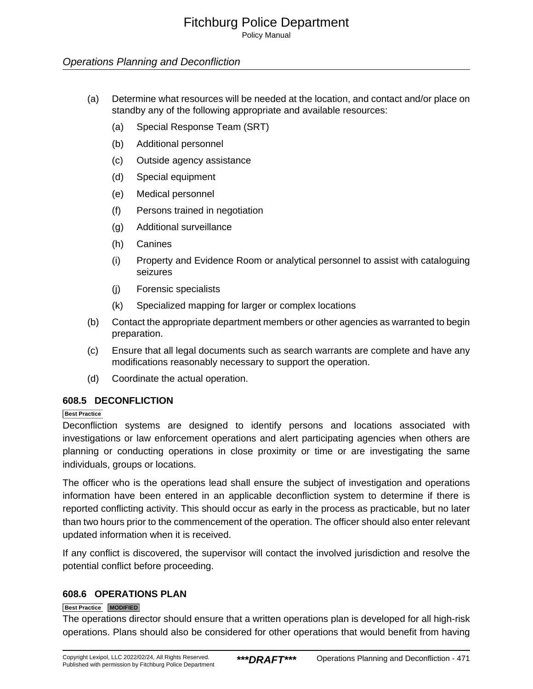Policy Manual

## Operations Planning and Deconfliction

- (a) Determine what resources will be needed at the location, and contact and/or place on standby any of the following appropriate and available resources:
	- (a) Special Response Team (SRT)
	- (b) Additional personnel
	- (c) Outside agency assistance
	- (d) Special equipment
	- (e) Medical personnel
	- (f) Persons trained in negotiation
	- (g) Additional surveillance
	- (h) Canines
	- (i) Property and Evidence Room or analytical personnel to assist with cataloguing seizures
	- (j) Forensic specialists
	- (k) Specialized mapping for larger or complex locations
- (b) Contact the appropriate department members or other agencies as warranted to begin preparation.
- (c) Ensure that all legal documents such as search warrants are complete and have any modifications reasonably necessary to support the operation.
- (d) Coordinate the actual operation.

## **608.5 DECONFLICTION**

#### **Best Practice**

Deconfliction systems are designed to identify persons and locations associated with investigations or law enforcement operations and alert participating agencies when others are planning or conducting operations in close proximity or time or are investigating the same individuals, groups or locations.

The officer who is the operations lead shall ensure the subject of investigation and operations information have been entered in an applicable deconfliction system to determine if there is reported conflicting activity. This should occur as early in the process as practicable, but no later than two hours prior to the commencement of the operation. The officer should also enter relevant updated information when it is received.

If any conflict is discovered, the supervisor will contact the involved jurisdiction and resolve the potential conflict before proceeding.

## **608.6 OPERATIONS PLAN**

#### **Best Practice MODIFIED**

The operations director should ensure that a written operations plan is developed for all high-risk operations. Plans should also be considered for other operations that would benefit from having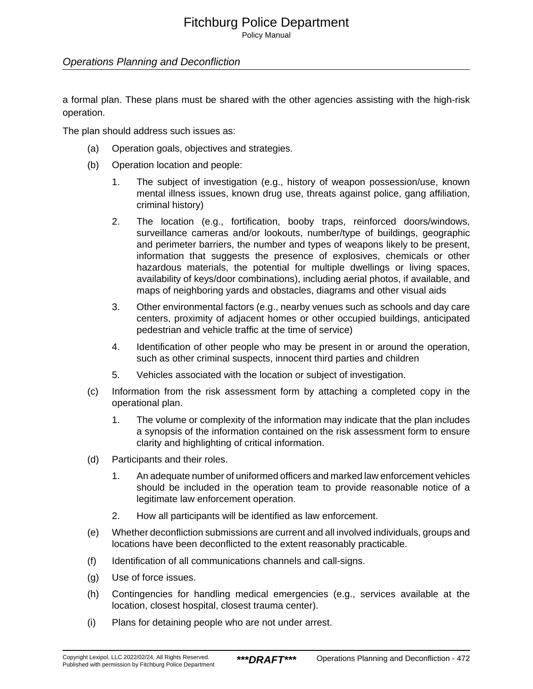Policy Manual

## Operations Planning and Deconfliction

a formal plan. These plans must be shared with the other agencies assisting with the high-risk operation.

The plan should address such issues as:

- (a) Operation goals, objectives and strategies.
- (b) Operation location and people:
	- 1. The subject of investigation (e.g., history of weapon possession/use, known mental illness issues, known drug use, threats against police, gang affiliation, criminal history)
	- 2. The location (e.g., fortification, booby traps, reinforced doors/windows, surveillance cameras and/or lookouts, number/type of buildings, geographic and perimeter barriers, the number and types of weapons likely to be present, information that suggests the presence of explosives, chemicals or other hazardous materials, the potential for multiple dwellings or living spaces, availability of keys/door combinations), including aerial photos, if available, and maps of neighboring yards and obstacles, diagrams and other visual aids
	- 3. Other environmental factors (e.g., nearby venues such as schools and day care centers, proximity of adjacent homes or other occupied buildings, anticipated pedestrian and vehicle traffic at the time of service)
	- 4. Identification of other people who may be present in or around the operation, such as other criminal suspects, innocent third parties and children
	- 5. Vehicles associated with the location or subject of investigation.
- (c) Information from the risk assessment form by attaching a completed copy in the operational plan.
	- 1. The volume or complexity of the information may indicate that the plan includes a synopsis of the information contained on the risk assessment form to ensure clarity and highlighting of critical information.
- (d) Participants and their roles.
	- 1. An adequate number of uniformed officers and marked law enforcement vehicles should be included in the operation team to provide reasonable notice of a legitimate law enforcement operation.
	- 2. How all participants will be identified as law enforcement.
- (e) Whether deconfliction submissions are current and all involved individuals, groups and locations have been deconflicted to the extent reasonably practicable.
- (f) Identification of all communications channels and call-signs.
- (g) Use of force issues.
- (h) Contingencies for handling medical emergencies (e.g., services available at the location, closest hospital, closest trauma center).
- (i) Plans for detaining people who are not under arrest.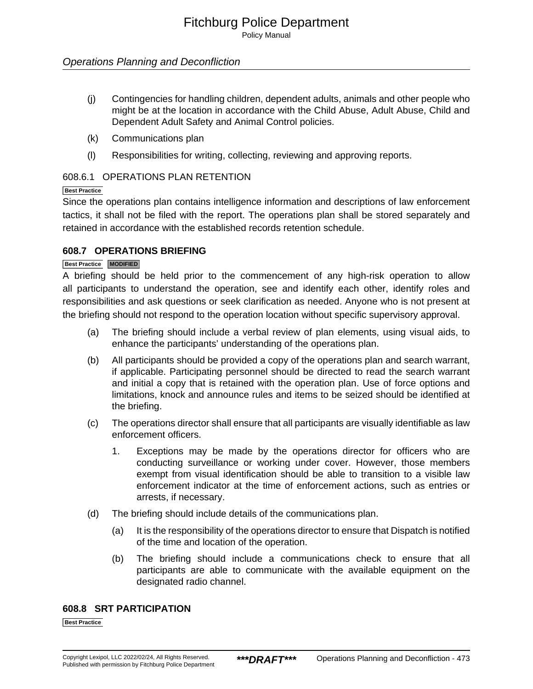Policy Manual

## Operations Planning and Deconfliction

- (j) Contingencies for handling children, dependent adults, animals and other people who might be at the location in accordance with the Child Abuse, Adult Abuse, Child and Dependent Adult Safety and Animal Control policies.
- (k) Communications plan
- (l) Responsibilities for writing, collecting, reviewing and approving reports.

## 608.6.1 OPERATIONS PLAN RETENTION

#### **Best Practice**

Since the operations plan contains intelligence information and descriptions of law enforcement tactics, it shall not be filed with the report. The operations plan shall be stored separately and retained in accordance with the established records retention schedule.

## **608.7 OPERATIONS BRIEFING**

#### **Best Practice MODIFIED**

A briefing should be held prior to the commencement of any high-risk operation to allow all participants to understand the operation, see and identify each other, identify roles and responsibilities and ask questions or seek clarification as needed. Anyone who is not present at the briefing should not respond to the operation location without specific supervisory approval.

- (a) The briefing should include a verbal review of plan elements, using visual aids, to enhance the participants' understanding of the operations plan.
- (b) All participants should be provided a copy of the operations plan and search warrant, if applicable. Participating personnel should be directed to read the search warrant and initial a copy that is retained with the operation plan. Use of force options and limitations, knock and announce rules and items to be seized should be identified at the briefing.
- (c) The operations director shall ensure that all participants are visually identifiable as law enforcement officers.
	- 1. Exceptions may be made by the operations director for officers who are conducting surveillance or working under cover. However, those members exempt from visual identification should be able to transition to a visible law enforcement indicator at the time of enforcement actions, such as entries or arrests, if necessary.
- (d) The briefing should include details of the communications plan.
	- (a) It is the responsibility of the operations director to ensure that Dispatch is notified of the time and location of the operation.
	- (b) The briefing should include a communications check to ensure that all participants are able to communicate with the available equipment on the designated radio channel.

## **608.8 SRT PARTICIPATION**

**Best Practice**